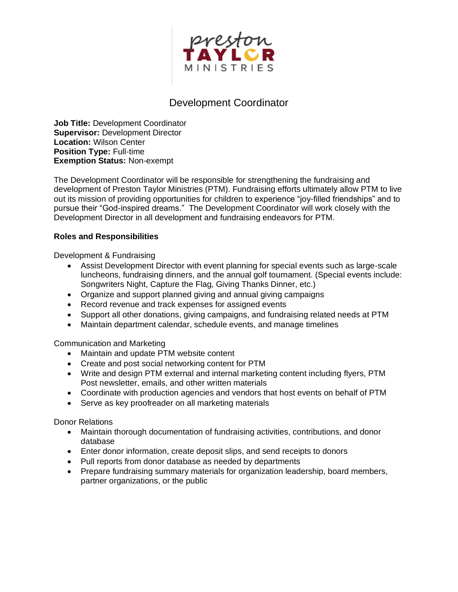

## Development Coordinator

**Job Title:** Development Coordinator **Supervisor:** Development Director **Location:** Wilson Center **Position Type:** Full-time **Exemption Status:** Non-exempt

The Development Coordinator will be responsible for strengthening the fundraising and development of Preston Taylor Ministries (PTM). Fundraising efforts ultimately allow PTM to live out its mission of providing opportunities for children to experience "joy-filled friendships" and to pursue their "God-inspired dreams." The Development Coordinator will work closely with the Development Director in all development and fundraising endeavors for PTM.

## **Roles and Responsibilities**

Development & Fundraising

- Assist Development Director with event planning for special events such as large-scale luncheons, fundraising dinners, and the annual golf tournament. (Special events include: Songwriters Night, Capture the Flag, Giving Thanks Dinner, etc.)
- Organize and support planned giving and annual giving campaigns
- Record revenue and track expenses for assigned events
- Support all other donations, giving campaigns, and fundraising related needs at PTM
- Maintain department calendar, schedule events, and manage timelines

Communication and Marketing

- Maintain and update PTM website content
- Create and post social networking content for PTM
- Write and design PTM external and internal marketing content including flyers, PTM Post newsletter, emails, and other written materials
- Coordinate with production agencies and vendors that host events on behalf of PTM
- Serve as key proofreader on all marketing materials

Donor Relations

- Maintain thorough documentation of fundraising activities, contributions, and donor database
- Enter donor information, create deposit slips, and send receipts to donors
- Pull reports from donor database as needed by departments
- Prepare fundraising summary materials for organization leadership, board members, partner organizations, or the public